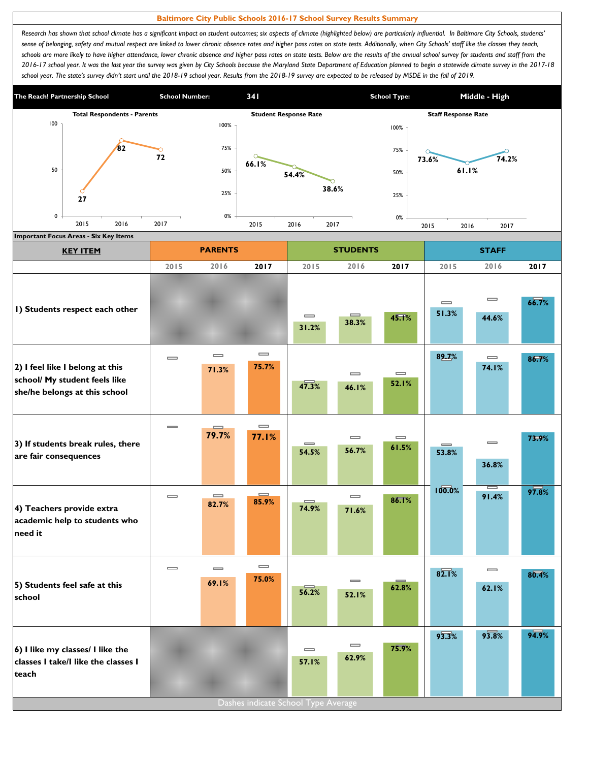## **Baltimore City Public Schools 2016-17 School Survey Results Summary**

Research has shown that school climate has a significant impact on student outcomes; six aspects of climate (highlighted below) are particularly influential. In Baltimore City Schools, students' sense of belonging, safety and mutual respect are linked to lower chronic absence rates and higher pass rates on state tests. Additionally, when City Schools' staff like the classes they teach, schools are more likely to have higher attendance, lower chronic absence and higher pass rates on state tests. Below are the results of the annual school survey for students and staff from the *2016-17 school year. It was the last year the survey was given by City Schools because the Maryland State Department of Education planned to begin a statewide climate survey in the 2017-18*  school year. The state's survey didn't start until the 2018-19 school year. Results from the 2018-19 survey are expected to be released by MSDE in the fall of 2019.



| <b>KEY ITEM</b>                                                                                   |                               | <b>PARENTS</b>                        |                                       |                                                                                 | <b>STUDENTS</b>                       |                                       | <b>STAFF</b>                          |                                       |       |
|---------------------------------------------------------------------------------------------------|-------------------------------|---------------------------------------|---------------------------------------|---------------------------------------------------------------------------------|---------------------------------------|---------------------------------------|---------------------------------------|---------------------------------------|-------|
|                                                                                                   | 2015                          | 2016                                  | 2017                                  | 2015                                                                            | 2016                                  | 2017                                  | 2015                                  | 2016                                  | 2017  |
| I) Students respect each other                                                                    |                               |                                       |                                       | $\equiv$<br>31.2%                                                               | $\equiv$<br>38.3%                     | 45.1%                                 | $\qquad \qquad \blacksquare$<br>51.3% | $\equiv$<br>44.6%                     | 66.7% |
| 2) I feel like I belong at this<br>school/ My student feels like<br>she/he belongs at this school | $\equiv$                      | $\qquad \qquad \blacksquare$<br>71.3% | $\qquad \qquad \blacksquare$<br>75.7% | 47.3%                                                                           | $\equiv$<br>46.1%                     | $\qquad \qquad =$<br>52.1%            | 89.7%                                 | $\qquad \qquad \blacksquare$<br>74.1% | 86.7% |
| 3) If students break rules, there<br>are fair consequences                                        | $\qquad \qquad \blacksquare$  | $=$<br>79.7%                          | $\qquad \qquad \blacksquare$<br>77.1% | $\qquad \qquad \blacksquare$<br>54.5%                                           | $\equiv$<br>56.7%                     | $\qquad \qquad \blacksquare$<br>61.5% | $\equiv$<br>53.8%                     | $\equiv$<br>36.8%                     | 73.9% |
| 4) Teachers provide extra<br>academic help to students who<br>need it                             | $\qquad \qquad \qquad \qquad$ | $\qquad \qquad \blacksquare$<br>82.7% | $\blacksquare$<br>85.9%               | 74.9%                                                                           | $=$<br>71.6%                          | 86.1%                                 | 100.0%                                | J<br>91.4%                            | 97.8% |
| 5) Students feel safe at this<br>school                                                           | $\qquad \qquad \blacksquare$  | $\equiv$<br>69.1%                     | $\qquad \qquad \blacksquare$<br>75.0% | 56.2%                                                                           | $\equiv$<br>52.1%                     | 62.8%                                 | $8\overline{2.1\%}$                   | $\qquad \qquad \blacksquare$<br>62.1% | 80.4% |
| 6) I like my classes/ I like the<br>classes I take/I like the classes I<br>teach                  |                               |                                       |                                       | $\qquad \qquad = \qquad \qquad$<br>57.1%<br>Dashes indicate School Type Average | $\qquad \qquad \blacksquare$<br>62.9% | 75.9%                                 | 93.3%                                 | 93.8%                                 | 94.9% |